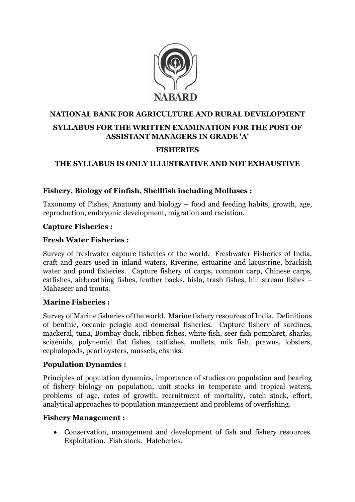

# NATIONAL BANK FOR AGRICULTURE AND RURAL DEVELOPMENT SYLLABUS FOR THE WRITTEN EXAMINATION FOR THE POST OF ASSISTANT MANAGERS IN GRADE 'A'

### FISHERIES

# THE SYLLABUS IS ONLY ILLUSTRATIVE AND NOT EXHAUSTIVE

### Fishery, Biology of Finfish, Shellfish including Molluses :

Taxonomy of Fishes, Anatomy and biology – food and feeding habits, growth, age, reproduction, embryonic development, migration and raciation.

#### Capture Fisheries :

### Fresh Water Fisheries :

Survey of freshwater capture fisheries of the world. Freshwater Fisheries of India, craft and gears used in inland waters, Riverine, estuarine and lacustrine, brackish water and pond fisheries. Capture fishery of carps, common carp, Chinese carps, catfishes, airbreathing fishes, feather backs, hisla, trash fishes, hill stream fishes – Mahaseer and trouts.

#### Marine Fisheries :

Survey of Marine fisheries of the world. Marine fishery resources of India. Definitions of benthic, oceanic pelagic and demersal fisheries. Capture fishery of sardines, mackeral, tuna, Bombay duck, ribbon fishes, white fish, seer fish pomphret, sharks, sciaenids, polynemid flat fishes, catfishes, mullets, mik fish, prawns, lobsters, cephalopods, pearl oysters, mussels, chanks.

#### Population Dynamics :

Principles of population dynamics, importance of studies on population and bearing of fishery biology on population, unit stocks in temperate and tropical waters, problems of age, rates of growth, recruitment of mortality, catch stock, effort, analytical approaches to population management and problems of overfishing.

#### Fishery Management :

 Conservation, management and development of fish and fishery resources. Exploitation. Fish stock. Hatcheries.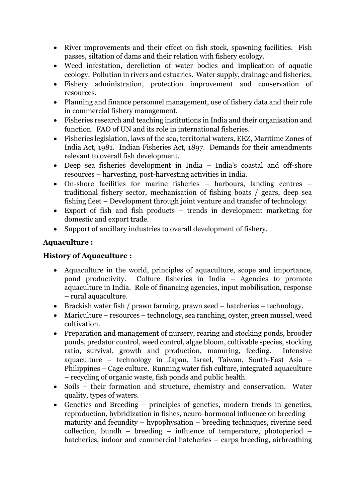- River improvements and their effect on fish stock, spawning facilities. Fish passes, siltation of dams and their relation with fishery ecology.
- Weed infestation, dereliction of water bodies and implication of aquatic ecology. Pollution in rivers and estuaries. Water supply, drainage and fisheries.
- Fishery administration, protection improvement and conservation of resources.
- Planning and finance personnel management, use of fishery data and their role in commercial fishery management.
- Fisheries research and teaching institutions in India and their organisation and function. FAO of UN and its role in international fisheries.
- Fisheries legislation, laws of the sea, territorial waters, EEZ, Maritime Zones of India Act, 1981. Indian Fisheries Act, 1897. Demands for their amendments relevant to overall fish development.
- Deep sea fisheries development in India India's coastal and off-shore resources – harvesting, post-harvesting activities in India.
- On-shore facilities for marine fisheries harbours, landing centres traditional fishery sector, mechanisation of fishing boats / gears, deep sea fishing fleet – Development through joint venture and transfer of technology.
- Export of fish and fish products trends in development marketing for domestic and export trade.
- Support of ancillary industries to overall development of fishery.

# Aquaculture :

## History of Aquaculture :

- Aquaculture in the world, principles of aquaculture, scope and importance, pond productivity. Culture fisheries in India – Agencies to promote aquaculture in India. Role of financing agencies, input mobilisation, response – rural aquaculture.
- Brackish water fish / prawn farming, prawn seed hatcheries technology.
- Mariculture resources technology, sea ranching, oyster, green mussel, weed cultivation.
- Preparation and management of nursery, rearing and stocking ponds, brooder ponds, predator control, weed control, algae bloom, cultivable species, stocking ratio, survival, growth and production, manuring, feeding. Intensive aquaculture – technology in Japan, Israel, Taiwan, South-East Asia – Philippines – Cage culture. Running water fish culture, integrated aquaculture – recycling of organic waste, fish ponds and public health.
- Soils their formation and structure, chemistry and conservation. Water quality, types of waters.
- Genetics and Breeding principles of genetics, modern trends in genetics, reproduction, hybridization in fishes, neuro-hormonal influence on breeding – maturity and fecundity – hypophysation – breeding techniques, riverine seed collection, bundh – breeding – influence of temperature, photoperiod – hatcheries, indoor and commercial hatcheries – carps breeding, airbreathing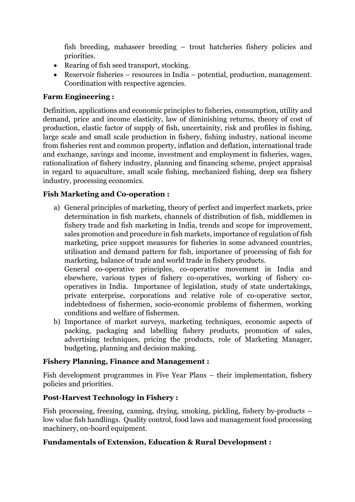fish breeding, mahaseer breeding – trout hatcheries fishery policies and priorities.

- Rearing of fish seed transport, stocking.
- Reservoir fisheries resources in India potential, production, management. Coordination with respective agencies.

### Farm Engineering :

Definition, applications and economic principles to fisheries, consumption, utility and demand, price and income elasticity, law of diminishing returns, theory of cost of production, elastic factor of supply of fish, uncertainity, risk and profiles in fishing, large scale and small scale production in fishery, fishing industry, national income from fisheries rent and common property, inflation and deflation, international trade and exchange, savings and income, investment and employment in fisheries, wages, rationalization of fishery industry, planning and financing scheme, project appraisal in regard to aquaculture, small scale fishing, mechanized fishing, deep sea fishery industry, processing economics.

### Fish Marketing and Co-operation :

- a) General principles of marketing, theory of perfect and imperfect markets, price determination in fish markets, channels of distribution of fish, middlemen in fishery trade and fish marketing in India, trends and scope for improvement, sales promotion and procedure in fish markets, importance of regulation of fish marketing, price support measures for fisheries in some advanced countries, utilisation and demand pattern for fish, importance of processing of fish for marketing, balance of trade and world trade in fishery products. General co-operative principles, co-operative movement in India and elsewhere, various types of fishery co-operatives, working of fishery cooperatives in India. Importance of legislation, study of state undertakings, private enterprise, corporations and relative role of co-operative sector, indebtedness of fishermen, socio-economic problems of fishermen, working
- conditions and welfare of fishermen. b) Importance of market surveys, marketing techniques, economic aspects of packing, packaging and labelling fishery products, promotion of sales, advertising techniques, pricing the products, role of Marketing Manager, budgeting, planning and decision making.

#### Fishery Planning, Finance and Management :

Fish development programmes in Five Year Plans – their implementation, fishery policies and priorities.

#### Post-Harvest Technology in Fishery :

Fish processing, freezing, canning, drying, smoking, pickling, fishery by-products – low value fish handlings. Quality control, food laws and management food processing machinery, on-board equipment.

#### Fundamentals of Extension, Education & Rural Development :